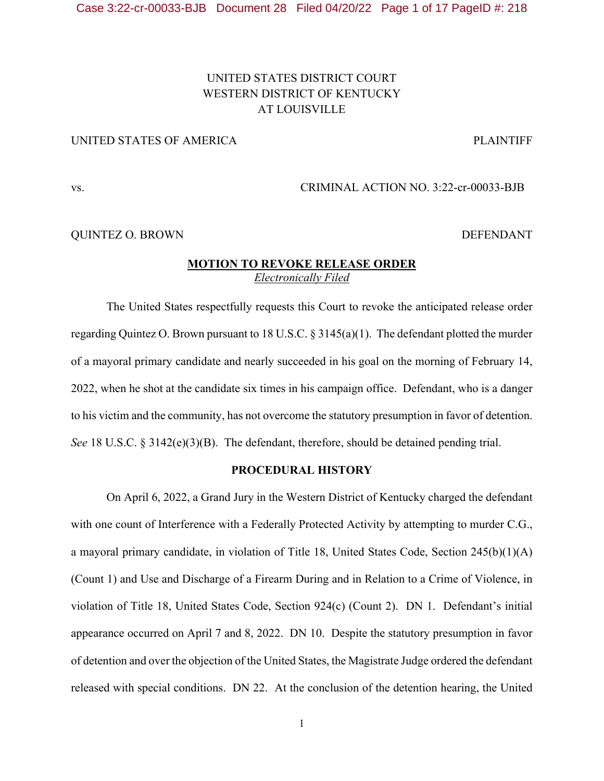# UNITED STATES DISTRICT COURT WESTERN DISTRICT OF KENTUCKY AT LOUISVILLE

# UNITED STATES OF AMERICA PLAINTIFF

vs. CRIMINAL ACTION NO. 3:22-cr-00033-BJB

QUINTEZ O. BROWN DEFENDANT

# **MOTION TO REVOKE RELEASE ORDER** *Electronically Filed*

The United States respectfully requests this Court to revoke the anticipated release order regarding Quintez O. Brown pursuant to 18 U.S.C. § 3145(a)(1). The defendant plotted the murder of a mayoral primary candidate and nearly succeeded in his goal on the morning of February 14, 2022, when he shot at the candidate six times in his campaign office. Defendant, who is a danger to his victim and the community, has not overcome the statutory presumption in favor of detention. *See* 18 U.S.C. § 3142(e)(3)(B). The defendant, therefore, should be detained pending trial.

# **PROCEDURAL HISTORY**

On April 6, 2022, a Grand Jury in the Western District of Kentucky charged the defendant with one count of Interference with a Federally Protected Activity by attempting to murder C.G., a mayoral primary candidate, in violation of Title 18, United States Code, Section 245(b)(1)(A) (Count 1) and Use and Discharge of a Firearm During and in Relation to a Crime of Violence, in violation of Title 18, United States Code, Section 924(c) (Count 2). DN 1.Defendant's initial appearance occurred on April 7 and 8, 2022. DN 10. Despite the statutory presumption in favor of detention and over the objection of the United States, the Magistrate Judge ordered the defendant released with special conditions. DN 22. At the conclusion of the detention hearing, the United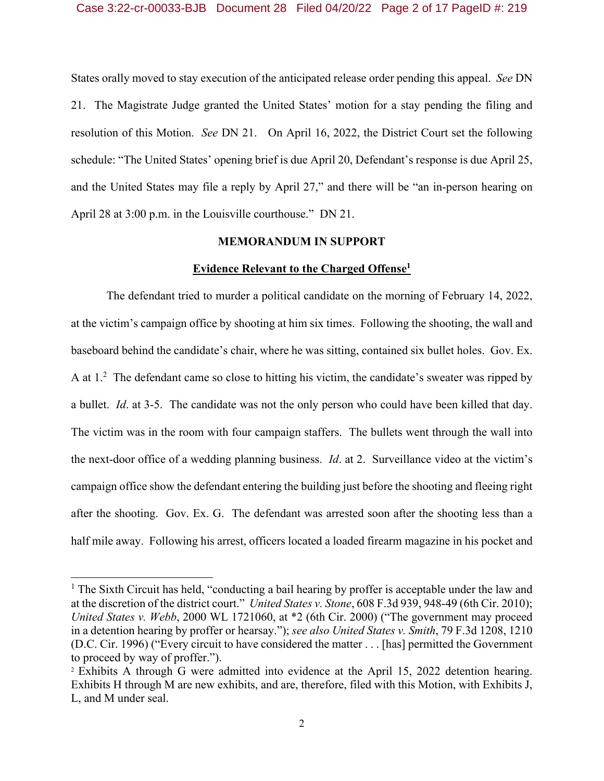States orally moved to stay execution of the anticipated release order pending this appeal. *See* DN 21. The Magistrate Judge granted the United States' motion for a stay pending the filing and resolution of this Motion. *See* DN 21. On April 16, 2022, the District Court set the following schedule: "The United States' opening brief is due April 20, Defendant's response is due April 25, and the United States may file a reply by April 27," and there will be "an in-person hearing on April 28 at 3:00 p.m. in the Louisville courthouse." DN 21.

# **MEMORANDUM IN SUPPORT**

#### **Evidence Relevant to the Charged Offense1**

The defendant tried to murder a political candidate on the morning of February 14, 2022, at the victim's campaign office by shooting at him six times. Following the shooting, the wall and baseboard behind the candidate's chair, where he was sitting, contained six bullet holes. Gov. Ex. A at  $1<sup>2</sup>$  The defendant came so close to hitting his victim, the candidate's sweater was ripped by a bullet. *Id*. at 3-5. The candidate was not the only person who could have been killed that day. The victim was in the room with four campaign staffers. The bullets went through the wall into the next-door office of a wedding planning business. *Id*. at 2. Surveillance video at the victim's campaign office show the defendant entering the building just before the shooting and fleeing right after the shooting. Gov. Ex. G. The defendant was arrested soon after the shooting less than a half mile away. Following his arrest, officers located a loaded firearm magazine in his pocket and

<sup>&</sup>lt;sup>1</sup> The Sixth Circuit has held, "conducting a bail hearing by proffer is acceptable under the law and at the discretion of the district court." *United States v. Stone*, 608 F.3d 939, 948-49 (6th Cir. 2010); *United States v. Webb*, 2000 WL 1721060, at \*2 (6th Cir. 2000) ("The government may proceed in a detention hearing by proffer or hearsay."); *see also United States v. Smith*, 79 F.3d 1208, 1210 (D.C. Cir. 1996) ("Every circuit to have considered the matter . . . [has] permitted the Government to proceed by way of proffer.").

<sup>2</sup> Exhibits A through G were admitted into evidence at the April 15, 2022 detention hearing. Exhibits H through M are new exhibits, and are, therefore, filed with this Motion, with Exhibits J, L, and M under seal.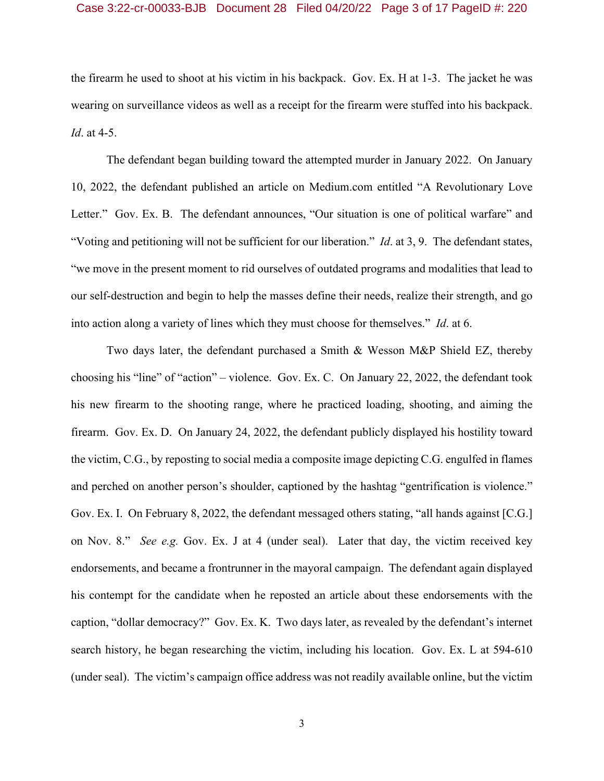#### Case 3:22-cr-00033-BJB Document 28 Filed 04/20/22 Page 3 of 17 PageID #: 220

the firearm he used to shoot at his victim in his backpack. Gov. Ex. H at 1-3. The jacket he was wearing on surveillance videos as well as a receipt for the firearm were stuffed into his backpack. *Id*. at 4-5.

The defendant began building toward the attempted murder in January 2022. On January 10, 2022, the defendant published an article on Medium.com entitled "A Revolutionary Love Letter." Gov. Ex. B. The defendant announces, "Our situation is one of political warfare" and "Voting and petitioning will not be sufficient for our liberation." *Id*. at 3, 9. The defendant states, "we move in the present moment to rid ourselves of outdated programs and modalities that lead to our self-destruction and begin to help the masses define their needs, realize their strength, and go into action along a variety of lines which they must choose for themselves." *Id*. at 6.

Two days later, the defendant purchased a Smith & Wesson M&P Shield EZ, thereby choosing his "line" of "action" – violence. Gov. Ex. C. On January 22, 2022, the defendant took his new firearm to the shooting range, where he practiced loading, shooting, and aiming the firearm. Gov. Ex. D. On January 24, 2022, the defendant publicly displayed his hostility toward the victim, C.G., by reposting to social media a composite image depicting C.G. engulfed in flames and perched on another person's shoulder, captioned by the hashtag "gentrification is violence." Gov. Ex. I. On February 8, 2022, the defendant messaged others stating, "all hands against [C.G.] on Nov. 8." *See e.g.* Gov. Ex. J at 4 (under seal). Later that day, the victim received key endorsements, and became a frontrunner in the mayoral campaign. The defendant again displayed his contempt for the candidate when he reposted an article about these endorsements with the caption, "dollar democracy?" Gov. Ex. K. Two days later, as revealed by the defendant's internet search history, he began researching the victim, including his location. Gov. Ex. L at 594-610 (under seal). The victim's campaign office address was not readily available online, but the victim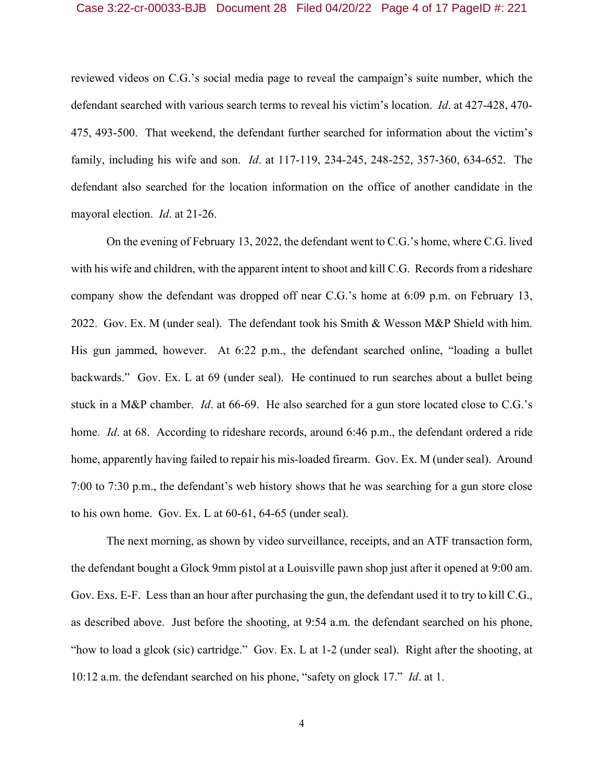#### Case 3:22-cr-00033-BJB Document 28 Filed 04/20/22 Page 4 of 17 PageID #: 221

reviewed videos on C.G.'s social media page to reveal the campaign's suite number, which the defendant searched with various search terms to reveal his victim's location. *Id*. at 427-428, 470- 475, 493-500. That weekend, the defendant further searched for information about the victim's family, including his wife and son. *Id*. at 117-119, 234-245, 248-252, 357-360, 634-652. The defendant also searched for the location information on the office of another candidate in the mayoral election. *Id*. at 21-26.

On the evening of February 13, 2022, the defendant went to C.G.'s home, where C.G. lived with his wife and children, with the apparent intent to shoot and kill C.G. Records from a rideshare company show the defendant was dropped off near C.G.'s home at 6:09 p.m. on February 13, 2022. Gov. Ex. M (under seal). The defendant took his Smith & Wesson M&P Shield with him. His gun jammed, however. At 6:22 p.m., the defendant searched online, "loading a bullet backwards." Gov. Ex. L at 69 (under seal). He continued to run searches about a bullet being stuck in a M&P chamber. *Id*. at 66-69. He also searched for a gun store located close to C.G.'s home. *Id*. at 68. According to rideshare records, around 6:46 p.m., the defendant ordered a ride home, apparently having failed to repair his mis-loaded firearm. Gov. Ex. M (under seal). Around 7:00 to 7:30 p.m., the defendant's web history shows that he was searching for a gun store close to his own home. Gov. Ex. L at 60-61, 64-65 (under seal).

The next morning, as shown by video surveillance, receipts, and an ATF transaction form, the defendant bought a Glock 9mm pistol at a Louisville pawn shop just after it opened at 9:00 am. Gov. Exs. E-F. Less than an hour after purchasing the gun, the defendant used it to try to kill C.G., as described above. Just before the shooting, at 9:54 a.m. the defendant searched on his phone, "how to load a glcok (sic) cartridge." Gov. Ex. L at 1-2 (under seal). Right after the shooting, at 10:12 a.m. the defendant searched on his phone, "safety on glock 17." *Id*. at 1.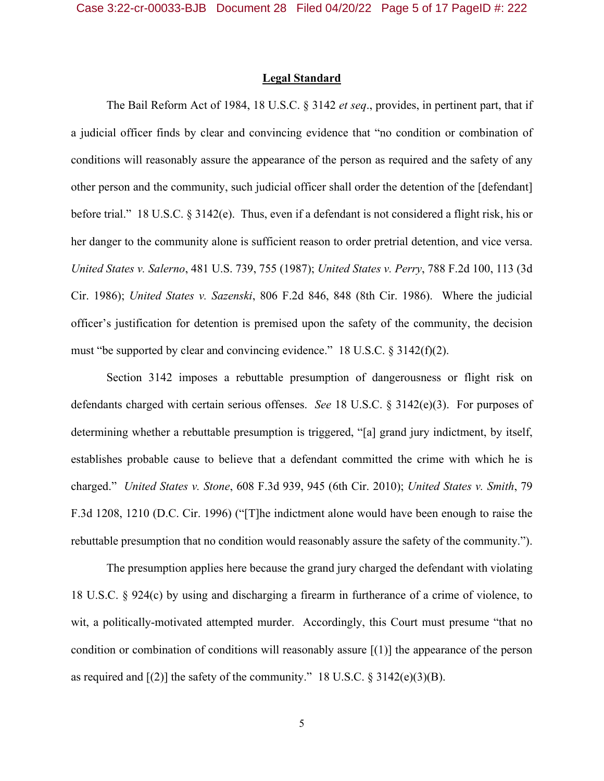#### **Legal Standard**

The Bail Reform Act of 1984, 18 U.S.C. § 3142 *et seq*., provides, in pertinent part, that if a judicial officer finds by clear and convincing evidence that "no condition or combination of conditions will reasonably assure the appearance of the person as required and the safety of any other person and the community, such judicial officer shall order the detention of the [defendant] before trial." 18 U.S.C. § 3142(e). Thus, even if a defendant is not considered a flight risk, his or her danger to the community alone is sufficient reason to order pretrial detention, and vice versa. *United States v. Salerno*, 481 U.S. 739, 755 (1987); *United States v. Perry*, 788 F.2d 100, 113 (3d Cir. 1986); *United States v. Sazenski*, 806 F.2d 846, 848 (8th Cir. 1986). Where the judicial officer's justification for detention is premised upon the safety of the community, the decision must "be supported by clear and convincing evidence." 18 U.S.C. § 3142(f)(2).

Section 3142 imposes a rebuttable presumption of dangerousness or flight risk on defendants charged with certain serious offenses. *See* 18 U.S.C. § 3142(e)(3). For purposes of determining whether a rebuttable presumption is triggered, "[a] grand jury indictment, by itself, establishes probable cause to believe that a defendant committed the crime with which he is charged." *United States v. Stone*, 608 F.3d 939, 945 (6th Cir. 2010); *United States v. Smith*, 79 F.3d 1208, 1210 (D.C. Cir. 1996) ("[T]he indictment alone would have been enough to raise the rebuttable presumption that no condition would reasonably assure the safety of the community.").

The presumption applies here because the grand jury charged the defendant with violating 18 U.S.C. § 924(c) by using and discharging a firearm in furtherance of a crime of violence, to wit, a politically-motivated attempted murder. Accordingly, this Court must presume "that no condition or combination of conditions will reasonably assure [(1)] the appearance of the person as required and  $[(2)]$  the safety of the community." 18 U.S.C. § 3142(e)(3)(B).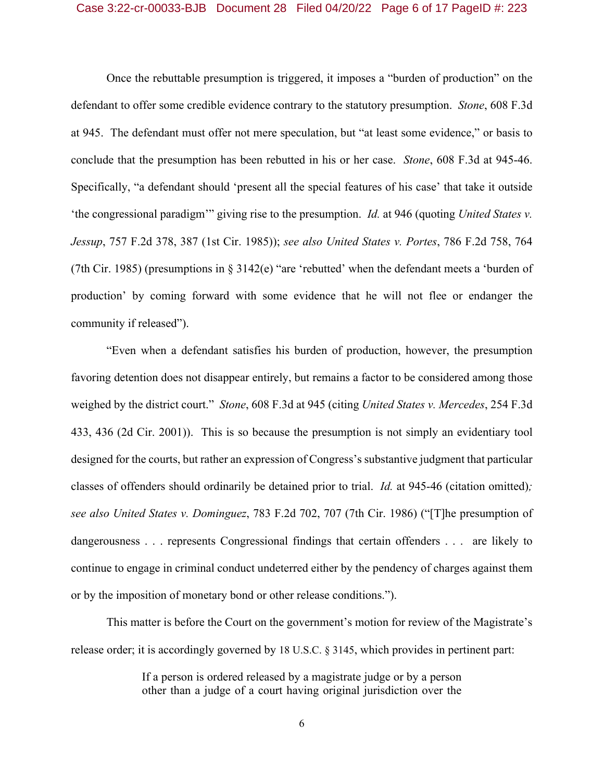# Case 3:22-cr-00033-BJB Document 28 Filed 04/20/22 Page 6 of 17 PageID #: 223

Once the rebuttable presumption is triggered, it imposes a "burden of production" on the defendant to offer some credible evidence contrary to the statutory presumption. *Stone*, 608 F.3d at 945. The defendant must offer not mere speculation, but "at least some evidence," or basis to conclude that the presumption has been rebutted in his or her case. *Stone*, 608 F.3d at 945-46. Specifically, "a defendant should 'present all the special features of his case' that take it outside 'the congressional paradigm'" giving rise to the presumption. *Id.* at 946 (quoting *United States v. Jessup*, 757 F.2d 378, 387 (1st Cir. 1985)); *see also United States v. Portes*, 786 F.2d 758, 764 (7th Cir. 1985) (presumptions in  $\S 3142(e)$  "are 'rebutted' when the defendant meets a 'burden of production' by coming forward with some evidence that he will not flee or endanger the community if released").

"Even when a defendant satisfies his burden of production, however, the presumption favoring detention does not disappear entirely, but remains a factor to be considered among those weighed by the district court." *Stone*, 608 F.3d at 945 (citing *United States v. Mercedes*, 254 F.3d 433, 436 (2d Cir. 2001)). This is so because the presumption is not simply an evidentiary tool designed for the courts, but rather an expression of Congress's substantive judgment that particular classes of offenders should ordinarily be detained prior to trial. *Id.* at 945-46 (citation omitted)*; see also United States v. Dominguez*, 783 F.2d 702, 707 (7th Cir. 1986) ("[T]he presumption of dangerousness . . . represents Congressional findings that certain offenders . . . are likely to continue to engage in criminal conduct undeterred either by the pendency of charges against them or by the imposition of monetary bond or other release conditions.").

This matter is before the Court on the government's motion for review of the Magistrate's release order; it is accordingly governed by 18 U.S.C. § 3145, which provides in pertinent part:

> If a person is ordered released by a magistrate judge or by a person other than a judge of a court having original jurisdiction over the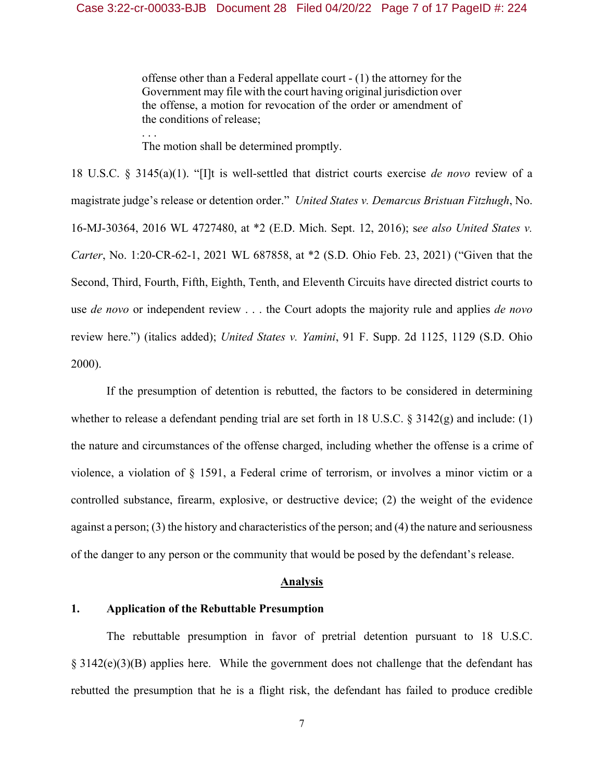offense other than a Federal appellate court - (1) the attorney for the Government may file with the court having original jurisdiction over the offense, a motion for revocation of the order or amendment of the conditions of release;

The motion shall be determined promptly.

. . .

18 U.S.C. § 3145(a)(1). "[I]t is well-settled that district courts exercise *de novo* review of a magistrate judge's release or detention order." *United States v. Demarcus Bristuan Fitzhugh*, No. 16-MJ-30364, 2016 WL 4727480, at \*2 (E.D. Mich. Sept. 12, 2016); s*ee also United States v. Carter*, No. 1:20-CR-62-1, 2021 WL 687858, at \*2 (S.D. Ohio Feb. 23, 2021) ("Given that the Second, Third, Fourth, Fifth, Eighth, Tenth, and Eleventh Circuits have directed district courts to use *de novo* or independent review . . . the Court adopts the majority rule and applies *de novo* review here.") (italics added); *United States v. Yamini*, 91 F. Supp. 2d 1125, 1129 (S.D. Ohio 2000).

If the presumption of detention is rebutted, the factors to be considered in determining whether to release a defendant pending trial are set forth in 18 U.S.C.  $\S 3142(g)$  and include: (1) the nature and circumstances of the offense charged, including whether the offense is a crime of violence, a violation of § 1591, a Federal crime of terrorism, or involves a minor victim or a controlled substance, firearm, explosive, or destructive device; (2) the weight of the evidence against a person; (3) the history and characteristics of the person; and (4) the nature and seriousness of the danger to any person or the community that would be posed by the defendant's release.

#### **Analysis**

# **1. Application of the Rebuttable Presumption**

The rebuttable presumption in favor of pretrial detention pursuant to 18 U.S.C. § 3142(e)(3)(B) applies here. While the government does not challenge that the defendant has rebutted the presumption that he is a flight risk, the defendant has failed to produce credible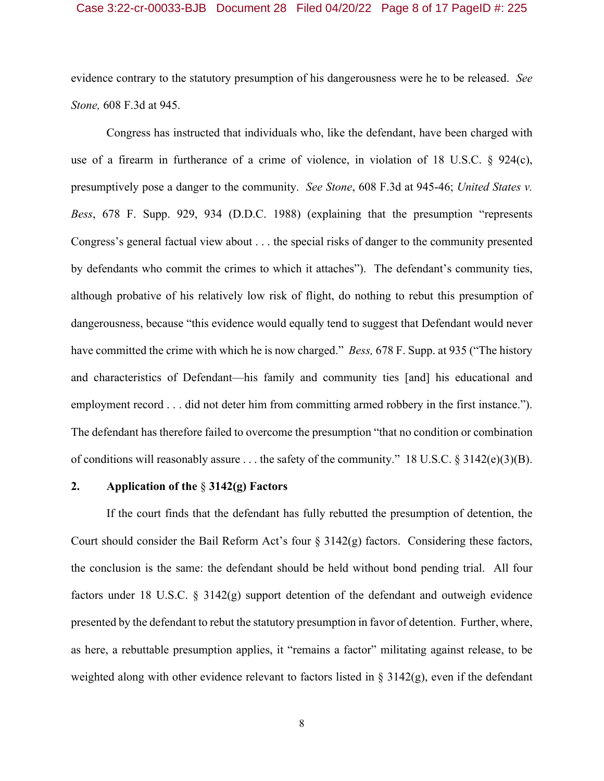#### Case 3:22-cr-00033-BJB Document 28 Filed 04/20/22 Page 8 of 17 PageID #: 225

evidence contrary to the statutory presumption of his dangerousness were he to be released. *See Stone,* 608 F.3d at 945.

Congress has instructed that individuals who, like the defendant, have been charged with use of a firearm in furtherance of a crime of violence, in violation of 18 U.S.C. § 924(c), presumptively pose a danger to the community. *See Stone*, 608 F.3d at 945-46; *United States v. Bess*, 678 F. Supp. 929, 934 (D.D.C. 1988) (explaining that the presumption "represents Congress's general factual view about . . . the special risks of danger to the community presented by defendants who commit the crimes to which it attaches"). The defendant's community ties, although probative of his relatively low risk of flight, do nothing to rebut this presumption of dangerousness, because "this evidence would equally tend to suggest that Defendant would never have committed the crime with which he is now charged." *Bess,* 678 F. Supp. at 935 ("The history and characteristics of Defendant—his family and community ties [and] his educational and employment record . . . did not deter him from committing armed robbery in the first instance."). The defendant has therefore failed to overcome the presumption "that no condition or combination of conditions will reasonably assure . . . the safety of the community." 18 U.S.C. § 3142(e)(3)(B).

# **2. Application of the** § **3142(g) Factors**

If the court finds that the defendant has fully rebutted the presumption of detention, the Court should consider the Bail Reform Act's four  $\S 3142(g)$  factors. Considering these factors, the conclusion is the same: the defendant should be held without bond pending trial. All four factors under 18 U.S.C. § 3142(g) support detention of the defendant and outweigh evidence presented by the defendant to rebut the statutory presumption in favor of detention. Further, where, as here, a rebuttable presumption applies, it "remains a factor" militating against release, to be weighted along with other evidence relevant to factors listed in  $\S$  3142(g), even if the defendant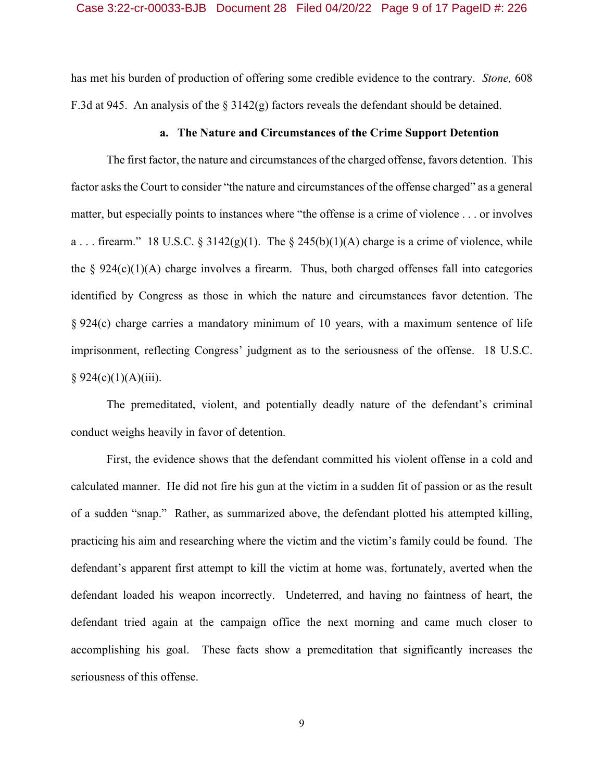has met his burden of production of offering some credible evidence to the contrary. *Stone,* 608 F.3d at 945. An analysis of the  $\S$  3142(g) factors reveals the defendant should be detained.

#### **a. The Nature and Circumstances of the Crime Support Detention**

The first factor, the nature and circumstances of the charged offense, favors detention. This factor asks the Court to consider "the nature and circumstances of the offense charged" as a general matter, but especially points to instances where "the offense is a crime of violence . . . or involves a ... firearm." 18 U.S.C. § 3142(g)(1). The § 245(b)(1)(A) charge is a crime of violence, while the  $\S 924(c)(1)(A)$  charge involves a firearm. Thus, both charged offenses fall into categories identified by Congress as those in which the nature and circumstances favor detention. The § 924(c) charge carries a mandatory minimum of 10 years, with a maximum sentence of life imprisonment, reflecting Congress' judgment as to the seriousness of the offense. 18 U.S.C.  $§ 924(c)(1)(A)(iii).$ 

The premeditated, violent, and potentially deadly nature of the defendant's criminal conduct weighs heavily in favor of detention.

First, the evidence shows that the defendant committed his violent offense in a cold and calculated manner. He did not fire his gun at the victim in a sudden fit of passion or as the result of a sudden "snap." Rather, as summarized above, the defendant plotted his attempted killing, practicing his aim and researching where the victim and the victim's family could be found. The defendant's apparent first attempt to kill the victim at home was, fortunately, averted when the defendant loaded his weapon incorrectly. Undeterred, and having no faintness of heart, the defendant tried again at the campaign office the next morning and came much closer to accomplishing his goal. These facts show a premeditation that significantly increases the seriousness of this offense.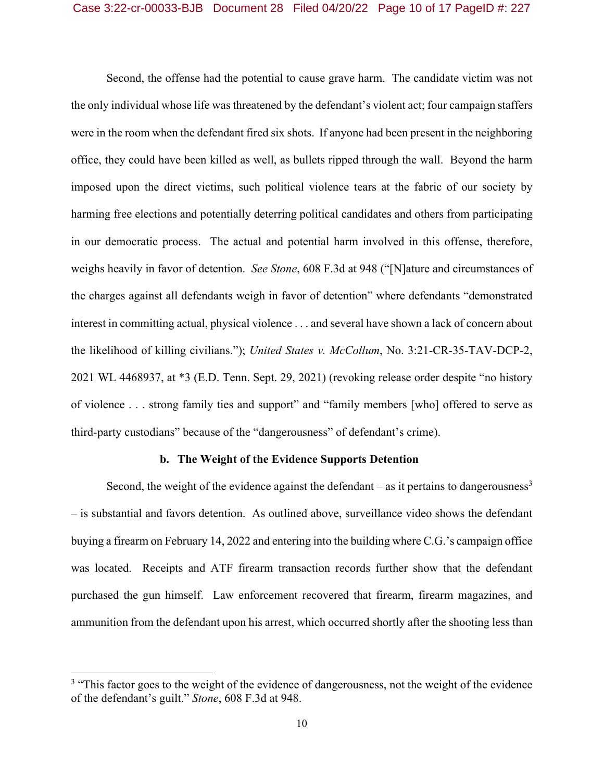Second, the offense had the potential to cause grave harm. The candidate victim was not the only individual whose life was threatened by the defendant's violent act; four campaign staffers were in the room when the defendant fired six shots. If anyone had been present in the neighboring office, they could have been killed as well, as bullets ripped through the wall. Beyond the harm imposed upon the direct victims, such political violence tears at the fabric of our society by harming free elections and potentially deterring political candidates and others from participating in our democratic process. The actual and potential harm involved in this offense, therefore, weighs heavily in favor of detention. *See Stone*, 608 F.3d at 948 ("[N]ature and circumstances of the charges against all defendants weigh in favor of detention" where defendants "demonstrated interest in committing actual, physical violence . . . and several have shown a lack of concern about the likelihood of killing civilians."); *United States v. McCollum*, No. 3:21-CR-35-TAV-DCP-2, 2021 WL 4468937, at \*3 (E.D. Tenn. Sept. 29, 2021) (revoking release order despite "no history of violence . . . strong family ties and support" and "family members [who] offered to serve as third-party custodians" because of the "dangerousness" of defendant's crime).

## **b. The Weight of the Evidence Supports Detention**

Second, the weight of the evidence against the defendant – as it pertains to dangerousness<sup>3</sup> – is substantial and favors detention. As outlined above, surveillance video shows the defendant buying a firearm on February 14, 2022 and entering into the building where C.G.'s campaign office was located. Receipts and ATF firearm transaction records further show that the defendant purchased the gun himself. Law enforcement recovered that firearm, firearm magazines, and ammunition from the defendant upon his arrest, which occurred shortly after the shooting less than

<sup>&</sup>lt;sup>3</sup> "This factor goes to the weight of the evidence of dangerousness, not the weight of the evidence of the defendant's guilt." *Stone*, 608 F.3d at 948.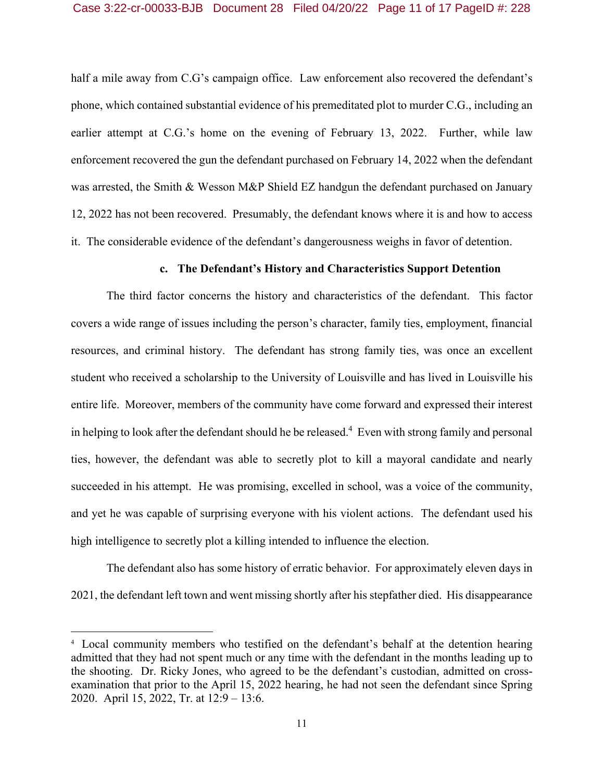half a mile away from C.G's campaign office. Law enforcement also recovered the defendant's phone, which contained substantial evidence of his premeditated plot to murder C.G., including an earlier attempt at C.G.'s home on the evening of February 13, 2022. Further, while law enforcement recovered the gun the defendant purchased on February 14, 2022 when the defendant was arrested, the Smith & Wesson M&P Shield EZ handgun the defendant purchased on January 12, 2022 has not been recovered. Presumably, the defendant knows where it is and how to access it. The considerable evidence of the defendant's dangerousness weighs in favor of detention.

# **c. The Defendant's History and Characteristics Support Detention**

The third factor concerns the history and characteristics of the defendant. This factor covers a wide range of issues including the person's character, family ties, employment, financial resources, and criminal history. The defendant has strong family ties, was once an excellent student who received a scholarship to the University of Louisville and has lived in Louisville his entire life. Moreover, members of the community have come forward and expressed their interest in helping to look after the defendant should he be released.<sup>4</sup> Even with strong family and personal ties, however, the defendant was able to secretly plot to kill a mayoral candidate and nearly succeeded in his attempt. He was promising, excelled in school, was a voice of the community, and yet he was capable of surprising everyone with his violent actions. The defendant used his high intelligence to secretly plot a killing intended to influence the election.

The defendant also has some history of erratic behavior. For approximately eleven days in 2021, the defendant left town and went missing shortly after his stepfather died. His disappearance

<sup>4</sup> Local community members who testified on the defendant's behalf at the detention hearing admitted that they had not spent much or any time with the defendant in the months leading up to the shooting. Dr. Ricky Jones, who agreed to be the defendant's custodian, admitted on crossexamination that prior to the April 15, 2022 hearing, he had not seen the defendant since Spring 2020. April 15, 2022, Tr. at 12:9 – 13:6.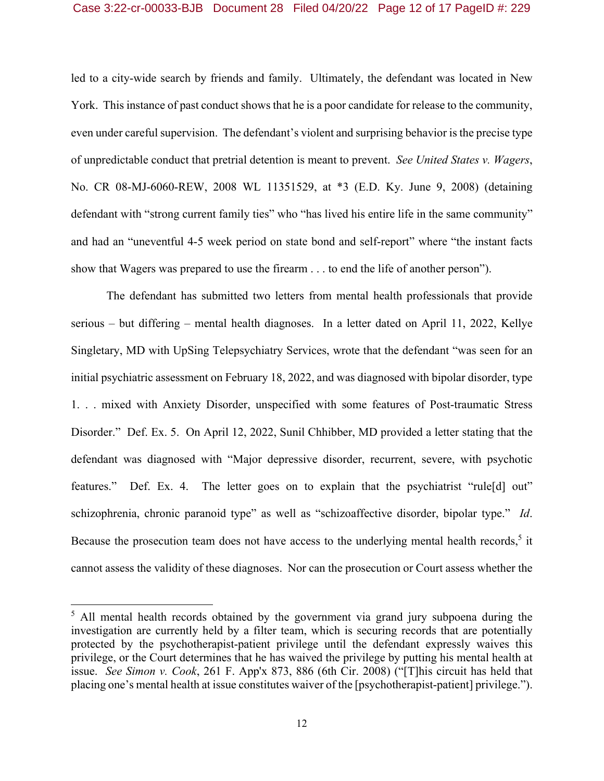# Case 3:22-cr-00033-BJB Document 28 Filed 04/20/22 Page 12 of 17 PageID #: 229

led to a city-wide search by friends and family. Ultimately, the defendant was located in New York. This instance of past conduct shows that he is a poor candidate for release to the community, even under careful supervision. The defendant's violent and surprising behavior is the precise type of unpredictable conduct that pretrial detention is meant to prevent. *See United States v. Wagers*, No. CR 08-MJ-6060-REW, 2008 WL 11351529, at \*3 (E.D. Ky. June 9, 2008) (detaining defendant with "strong current family ties" who "has lived his entire life in the same community" and had an "uneventful 4-5 week period on state bond and self-report" where "the instant facts show that Wagers was prepared to use the firearm . . . to end the life of another person").

The defendant has submitted two letters from mental health professionals that provide serious – but differing – mental health diagnoses. In a letter dated on April 11, 2022, Kellye Singletary, MD with UpSing Telepsychiatry Services, wrote that the defendant "was seen for an initial psychiatric assessment on February 18, 2022, and was diagnosed with bipolar disorder, type 1. . . mixed with Anxiety Disorder, unspecified with some features of Post-traumatic Stress Disorder." Def. Ex. 5. On April 12, 2022, Sunil Chhibber, MD provided a letter stating that the defendant was diagnosed with "Major depressive disorder, recurrent, severe, with psychotic features." Def. Ex. 4. The letter goes on to explain that the psychiatrist "rule[d] out" schizophrenia, chronic paranoid type" as well as "schizoaffective disorder, bipolar type." *Id*. Because the prosecution team does not have access to the underlying mental health records,<sup>5</sup> it cannot assess the validity of these diagnoses. Nor can the prosecution or Court assess whether the

<sup>&</sup>lt;sup>5</sup> All mental health records obtained by the government via grand jury subpoena during the investigation are currently held by a filter team, which is securing records that are potentially protected by the psychotherapist-patient privilege until the defendant expressly waives this privilege, or the Court determines that he has waived the privilege by putting his mental health at issue. *See Simon v. Cook*, 261 F. App'x 873, 886 (6th Cir. 2008) ("[T]his circuit has held that placing one's mental health at issue constitutes waiver of the [psychotherapist-patient] privilege.").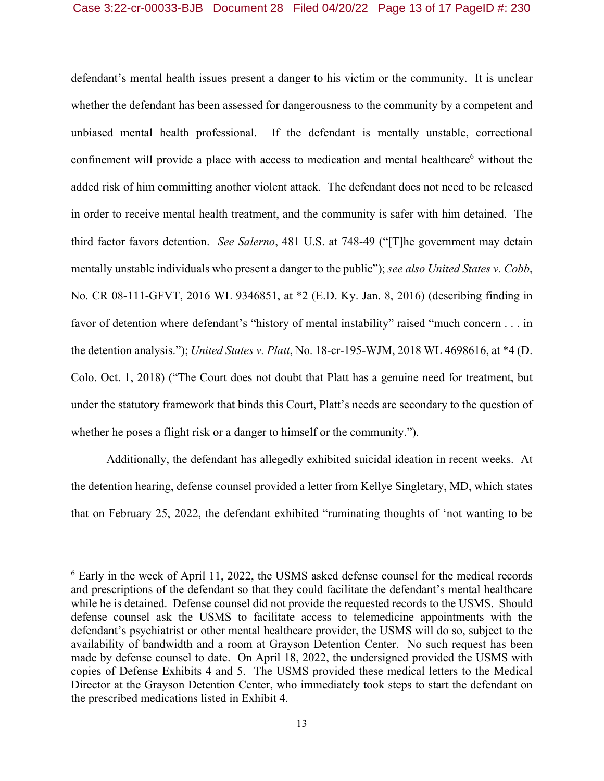defendant's mental health issues present a danger to his victim or the community. It is unclear whether the defendant has been assessed for dangerousness to the community by a competent and unbiased mental health professional. If the defendant is mentally unstable, correctional confinement will provide a place with access to medication and mental healthcare<sup>6</sup> without the added risk of him committing another violent attack. The defendant does not need to be released in order to receive mental health treatment, and the community is safer with him detained. The third factor favors detention. *See Salerno*, 481 U.S. at 748-49 ("[T]he government may detain mentally unstable individuals who present a danger to the public"); *see also United States v. Cobb*, No. CR 08-111-GFVT, 2016 WL 9346851, at \*2 (E.D. Ky. Jan. 8, 2016) (describing finding in favor of detention where defendant's "history of mental instability" raised "much concern . . . in the detention analysis."); *United States v. Platt*, No. 18-cr-195-WJM, 2018 WL 4698616, at \*4 (D. Colo. Oct. 1, 2018) ("The Court does not doubt that Platt has a genuine need for treatment, but under the statutory framework that binds this Court, Platt's needs are secondary to the question of whether he poses a flight risk or a danger to himself or the community.").

Additionally, the defendant has allegedly exhibited suicidal ideation in recent weeks. At the detention hearing, defense counsel provided a letter from Kellye Singletary, MD, which states that on February 25, 2022, the defendant exhibited "ruminating thoughts of 'not wanting to be

 $6$  Early in the week of April 11, 2022, the USMS asked defense counsel for the medical records and prescriptions of the defendant so that they could facilitate the defendant's mental healthcare while he is detained. Defense counsel did not provide the requested records to the USMS. Should defense counsel ask the USMS to facilitate access to telemedicine appointments with the defendant's psychiatrist or other mental healthcare provider, the USMS will do so, subject to the availability of bandwidth and a room at Grayson Detention Center. No such request has been made by defense counsel to date. On April 18, 2022, the undersigned provided the USMS with copies of Defense Exhibits 4 and 5. The USMS provided these medical letters to the Medical Director at the Grayson Detention Center, who immediately took steps to start the defendant on the prescribed medications listed in Exhibit 4.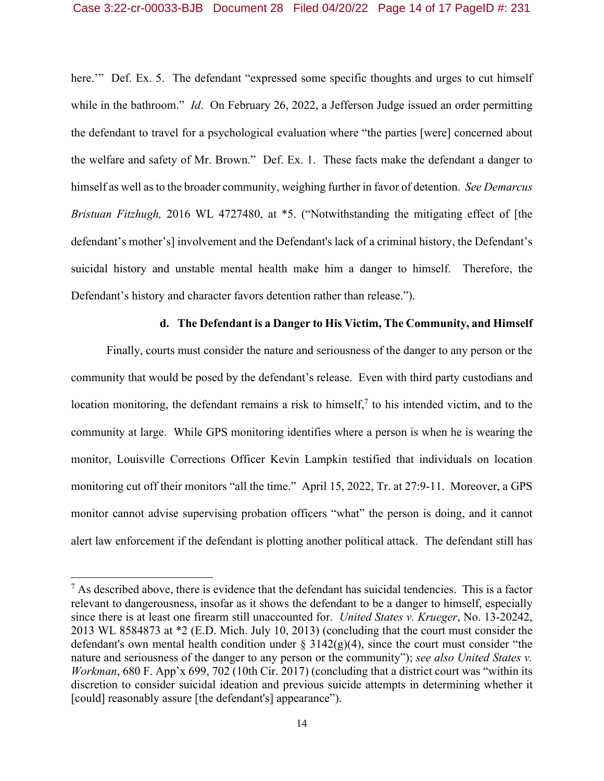here."" Def. Ex. 5. The defendant "expressed some specific thoughts and urges to cut himself while in the bathroom." *Id*. On February 26, 2022, a Jefferson Judge issued an order permitting the defendant to travel for a psychological evaluation where "the parties [were] concerned about the welfare and safety of Mr. Brown." Def. Ex. 1. These facts make the defendant a danger to himself as well as to the broader community, weighing further in favor of detention. *See Demarcus Bristuan Fitzhugh,* 2016 WL 4727480, at \*5. ("Notwithstanding the mitigating effect of [the defendant's mother's] involvement and the Defendant's lack of a criminal history, the Defendant's suicidal history and unstable mental health make him a danger to himself. Therefore, the Defendant's history and character favors detention rather than release.").

# **d. The Defendant is a Danger to His Victim, The Community, and Himself**

Finally, courts must consider the nature and seriousness of the danger to any person or the community that would be posed by the defendant's release. Even with third party custodians and location monitoring, the defendant remains a risk to himself, $7$  to his intended victim, and to the community at large. While GPS monitoring identifies where a person is when he is wearing the monitor, Louisville Corrections Officer Kevin Lampkin testified that individuals on location monitoring cut off their monitors "all the time." April 15, 2022, Tr. at 27:9-11. Moreover, a GPS monitor cannot advise supervising probation officers "what" the person is doing, and it cannot alert law enforcement if the defendant is plotting another political attack. The defendant still has

 $<sup>7</sup>$  As described above, there is evidence that the defendant has suicidal tendencies. This is a factor</sup> relevant to dangerousness, insofar as it shows the defendant to be a danger to himself, especially since there is at least one firearm still unaccounted for. *United States v. Krueger*, No. 13-20242, 2013 WL 8584873 at \*2 (E.D. Mich. July 10, 2013) (concluding that the court must consider the defendant's own mental health condition under  $\S 3142(g)(4)$ , since the court must consider "the nature and seriousness of the danger to any person or the community"); *see also United States v. Workman*, 680 F. App'x 699, 702 (10th Cir. 2017) (concluding that a district court was "within its discretion to consider suicidal ideation and previous suicide attempts in determining whether it [could] reasonably assure [the defendant's] appearance").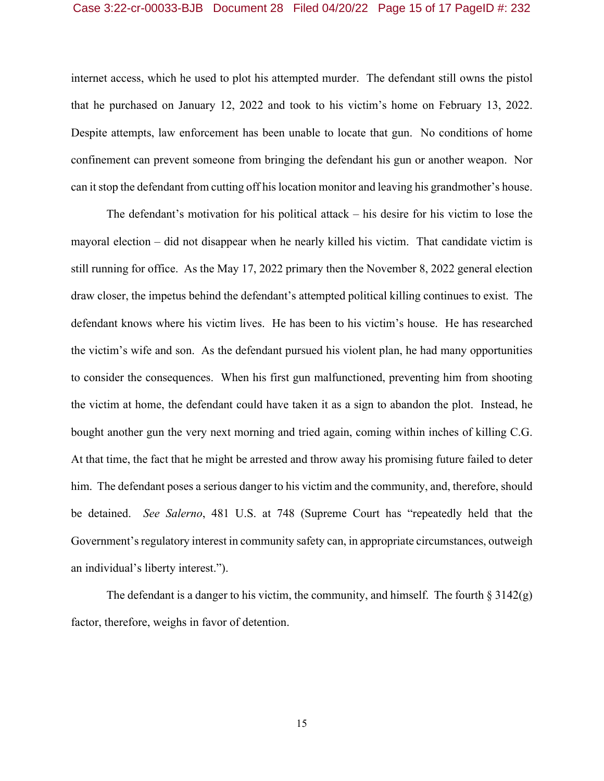### Case 3:22-cr-00033-BJB Document 28 Filed 04/20/22 Page 15 of 17 PageID #: 232

internet access, which he used to plot his attempted murder. The defendant still owns the pistol that he purchased on January 12, 2022 and took to his victim's home on February 13, 2022. Despite attempts, law enforcement has been unable to locate that gun. No conditions of home confinement can prevent someone from bringing the defendant his gun or another weapon. Nor can it stop the defendant from cutting off his location monitor and leaving his grandmother's house.

The defendant's motivation for his political attack – his desire for his victim to lose the mayoral election – did not disappear when he nearly killed his victim. That candidate victim is still running for office. As the May 17, 2022 primary then the November 8, 2022 general election draw closer, the impetus behind the defendant's attempted political killing continues to exist. The defendant knows where his victim lives. He has been to his victim's house. He has researched the victim's wife and son. As the defendant pursued his violent plan, he had many opportunities to consider the consequences. When his first gun malfunctioned, preventing him from shooting the victim at home, the defendant could have taken it as a sign to abandon the plot. Instead, he bought another gun the very next morning and tried again, coming within inches of killing C.G. At that time, the fact that he might be arrested and throw away his promising future failed to deter him. The defendant poses a serious danger to his victim and the community, and, therefore, should be detained. *See Salerno*, 481 U.S. at 748 (Supreme Court has "repeatedly held that the Government's regulatory interest in community safety can, in appropriate circumstances, outweigh an individual's liberty interest.").

The defendant is a danger to his victim, the community, and himself. The fourth  $\S 3142(g)$ factor, therefore, weighs in favor of detention.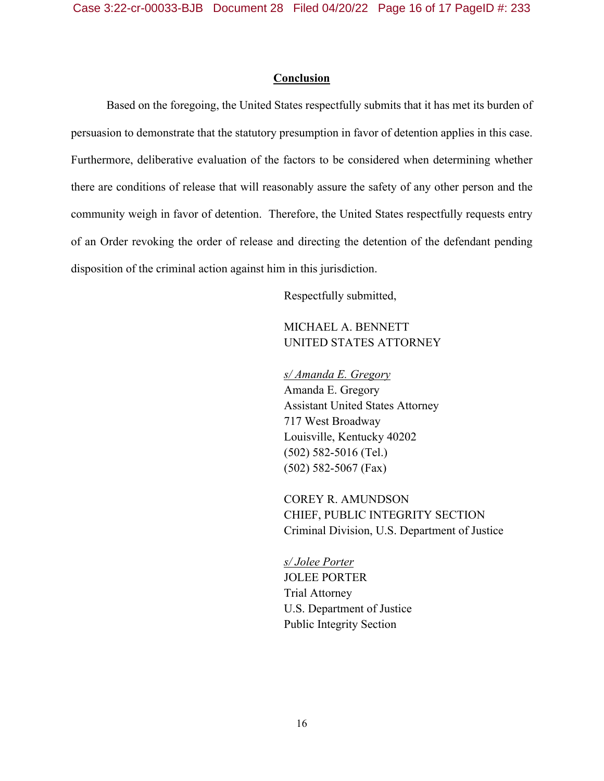# **Conclusion**

Based on the foregoing, the United States respectfully submits that it has met its burden of persuasion to demonstrate that the statutory presumption in favor of detention applies in this case. Furthermore, deliberative evaluation of the factors to be considered when determining whether there are conditions of release that will reasonably assure the safety of any other person and the community weigh in favor of detention. Therefore, the United States respectfully requests entry of an Order revoking the order of release and directing the detention of the defendant pending disposition of the criminal action against him in this jurisdiction.

Respectfully submitted,

# MICHAEL A. BENNETT UNITED STATES ATTORNEY

*s/ Amanda E. Gregory*  Amanda E. Gregory Assistant United States Attorney 717 West Broadway Louisville, Kentucky 40202 (502) 582-5016 (Tel.) (502) 582-5067 (Fax)

COREY R. AMUNDSON CHIEF, PUBLIC INTEGRITY SECTION Criminal Division, U.S. Department of Justice

*s/ Jolee Porter*  JOLEE PORTER Trial Attorney U.S. Department of Justice Public Integrity Section